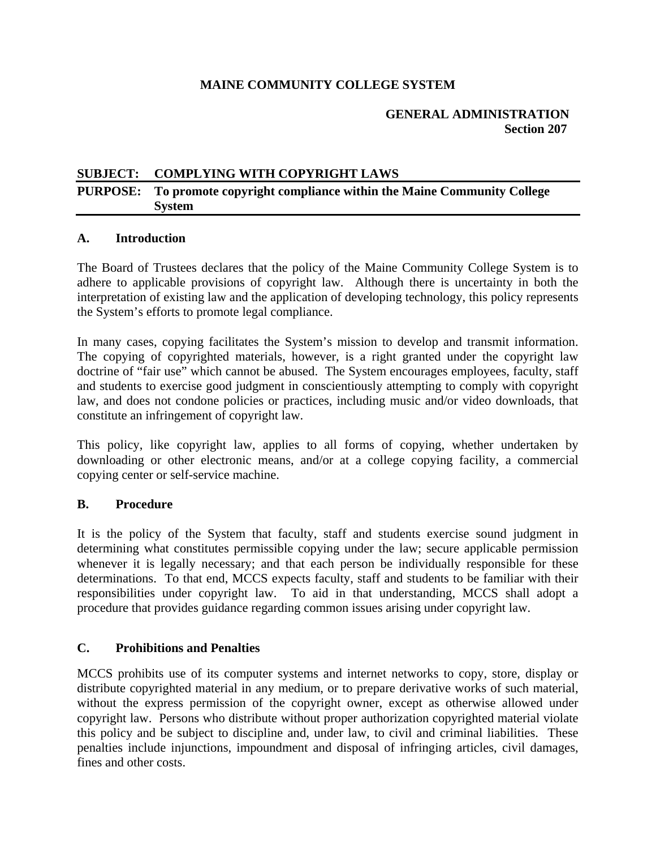## **MAINE COMMUNITY COLLEGE SYSTEM**

#### **GENERAL ADMINISTRATION Section 207**

## **SUBJECT: COMPLYING WITH COPYRIGHT LAWS**

## **PURPOSE: To promote copyright compliance within the Maine Community College System**

#### **A. Introduction**

The Board of Trustees declares that the policy of the Maine Community College System is to adhere to applicable provisions of copyright law. Although there is uncertainty in both the interpretation of existing law and the application of developing technology, this policy represents the System's efforts to promote legal compliance.

In many cases, copying facilitates the System's mission to develop and transmit information. The copying of copyrighted materials, however, is a right granted under the copyright law doctrine of "fair use" which cannot be abused. The System encourages employees, faculty, staff and students to exercise good judgment in conscientiously attempting to comply with copyright law, and does not condone policies or practices, including music and/or video downloads, that constitute an infringement of copyright law.

This policy, like copyright law, applies to all forms of copying, whether undertaken by downloading or other electronic means, and/or at a college copying facility, a commercial copying center or self-service machine.

## **B. Procedure**

It is the policy of the System that faculty, staff and students exercise sound judgment in determining what constitutes permissible copying under the law; secure applicable permission whenever it is legally necessary; and that each person be individually responsible for these determinations. To that end, MCCS expects faculty, staff and students to be familiar with their responsibilities under copyright law. To aid in that understanding, MCCS shall adopt a procedure that provides guidance regarding common issues arising under copyright law.

## **C. Prohibitions and Penalties**

MCCS prohibits use of its computer systems and internet networks to copy, store, display or distribute copyrighted material in any medium, or to prepare derivative works of such material, without the express permission of the copyright owner, except as otherwise allowed under copyright law. Persons who distribute without proper authorization copyrighted material violate this policy and be subject to discipline and, under law, to civil and criminal liabilities. These penalties include injunctions, impoundment and disposal of infringing articles, civil damages, fines and other costs.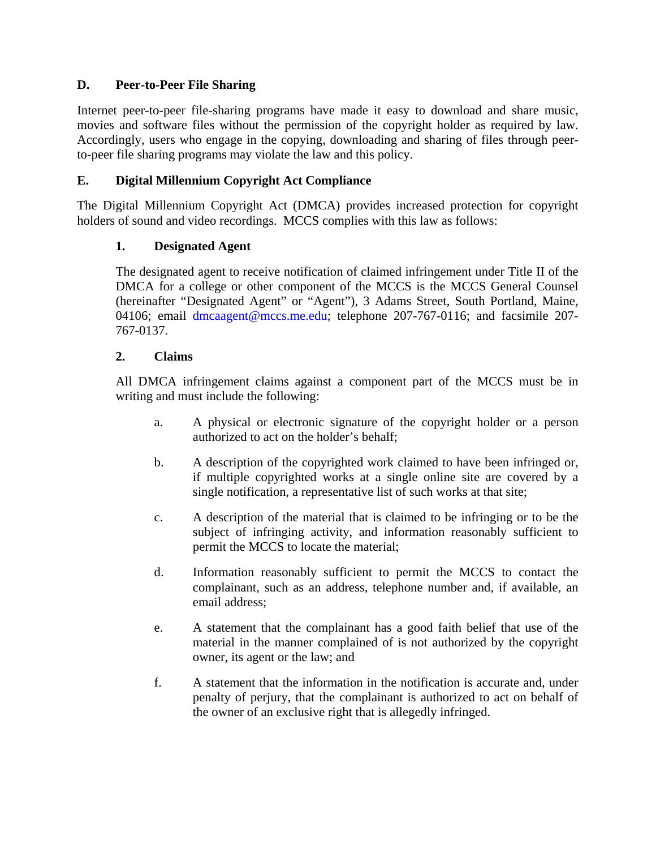## **D. Peer-to-Peer File Sharing**

Internet peer-to-peer file-sharing programs have made it easy to download and share music, movies and software files without the permission of the copyright holder as required by law. Accordingly, users who engage in the copying, downloading and sharing of files through peerto-peer file sharing programs may violate the law and this policy.

## **E. Digital Millennium Copyright Act Compliance**

The Digital Millennium Copyright Act (DMCA) provides increased protection for copyright holders of sound and video recordings. MCCS complies with this law as follows:

## **1. Designated Agent**

The designated agent to receive notification of claimed infringement under Title II of the DMCA for a college or other component of the MCCS is the MCCS General Counsel (hereinafter "Designated Agent" or "Agent"), 3 Adams Street, South Portland, Maine, 04106; email dmcaagent@mccs.me.edu; telephone 207-767-0116; and facsimile 207-767-0137.

## **2. Claims**

All DMCA infringement claims against a component part of the MCCS must be in writing and must include the following:

- a. A physical or electronic signature of the copyright holder or a person authorized to act on the holder's behalf;
- b. A description of the copyrighted work claimed to have been infringed or, if multiple copyrighted works at a single online site are covered by a single notification, a representative list of such works at that site;
- c. A description of the material that is claimed to be infringing or to be the subject of infringing activity, and information reasonably sufficient to permit the MCCS to locate the material;
- d. Information reasonably sufficient to permit the MCCS to contact the complainant, such as an address, telephone number and, if available, an email address;
- e. A statement that the complainant has a good faith belief that use of the material in the manner complained of is not authorized by the copyright owner, its agent or the law; and
- f. A statement that the information in the notification is accurate and, under penalty of perjury, that the complainant is authorized to act on behalf of the owner of an exclusive right that is allegedly infringed.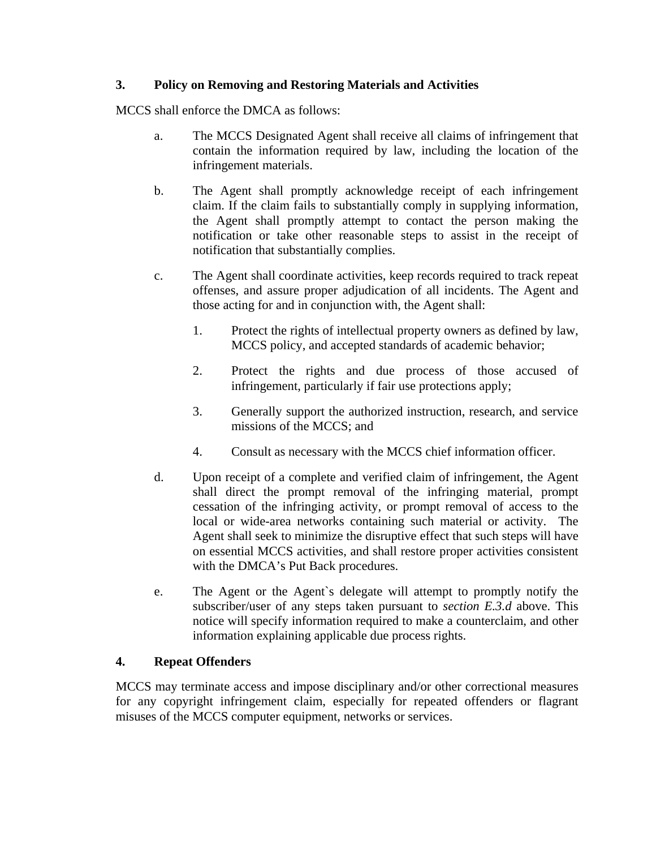## **3. Policy on Removing and Restoring Materials and Activities**

MCCS shall enforce the DMCA as follows:

- a. The MCCS Designated Agent shall receive all claims of infringement that contain the information required by law, including the location of the infringement materials.
- b. The Agent shall promptly acknowledge receipt of each infringement claim. If the claim fails to substantially comply in supplying information, the Agent shall promptly attempt to contact the person making the notification or take other reasonable steps to assist in the receipt of notification that substantially complies.
- c. The Agent shall coordinate activities, keep records required to track repeat offenses, and assure proper adjudication of all incidents. The Agent and those acting for and in conjunction with, the Agent shall:
	- 1. Protect the rights of intellectual property owners as defined by law, MCCS policy, and accepted standards of academic behavior;
	- 2. Protect the rights and due process of those accused of infringement, particularly if fair use protections apply;
	- 3. Generally support the authorized instruction, research, and service missions of the MCCS; and
	- 4. Consult as necessary with the MCCS chief information officer.
- d. Upon receipt of a complete and verified claim of infringement, the Agent shall direct the prompt removal of the infringing material, prompt cessation of the infringing activity, or prompt removal of access to the local or wide-area networks containing such material or activity. The Agent shall seek to minimize the disruptive effect that such steps will have on essential MCCS activities, and shall restore proper activities consistent with the DMCA's Put Back procedures.
- e. The Agent or the Agent`s delegate will attempt to promptly notify the subscriber/user of any steps taken pursuant to *section E.3.d* above. This notice will specify information required to make a counterclaim, and other information explaining applicable due process rights.

# **4. Repeat Offenders**

MCCS may terminate access and impose disciplinary and/or other correctional measures for any copyright infringement claim, especially for repeated offenders or flagrant misuses of the MCCS computer equipment, networks or services.